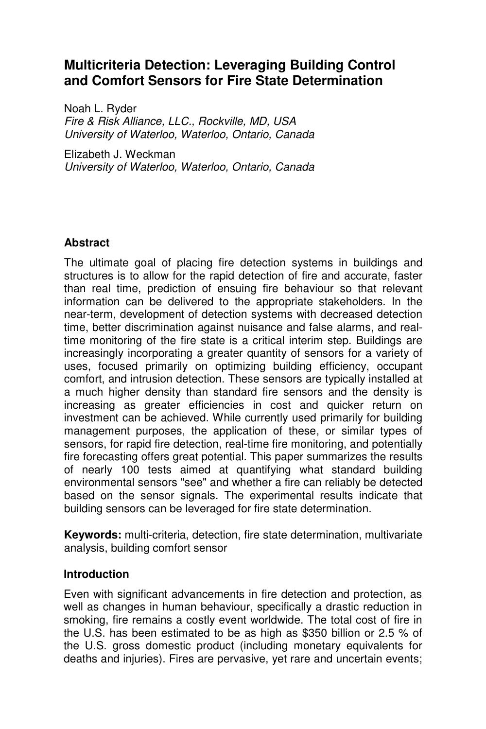# **Multicriteria Detection: Leveraging Building Control and Comfort Sensors for Fire State Determination**

Noah L. Ryder *Fire & Risk Alliance, LLC., Rockville, MD, USA University of Waterloo, Waterloo, Ontario, Canada* 

Elizabeth J. Weckman *University of Waterloo, Waterloo, Ontario, Canada*

## **Abstract**

The ultimate goal of placing fire detection systems in buildings and structures is to allow for the rapid detection of fire and accurate, faster than real time, prediction of ensuing fire behaviour so that relevant information can be delivered to the appropriate stakeholders. In the near-term, development of detection systems with decreased detection time, better discrimination against nuisance and false alarms, and realtime monitoring of the fire state is a critical interim step. Buildings are increasingly incorporating a greater quantity of sensors for a variety of uses, focused primarily on optimizing building efficiency, occupant comfort, and intrusion detection. These sensors are typically installed at a much higher density than standard fire sensors and the density is increasing as greater efficiencies in cost and quicker return on investment can be achieved. While currently used primarily for building management purposes, the application of these, or similar types of sensors, for rapid fire detection, real-time fire monitoring, and potentially fire forecasting offers great potential. This paper summarizes the results of nearly 100 tests aimed at quantifying what standard building environmental sensors "see" and whether a fire can reliably be detected based on the sensor signals. The experimental results indicate that building sensors can be leveraged for fire state determination.

**Keywords:** multi-criteria, detection, fire state determination, multivariate analysis, building comfort sensor

### **Introduction**

Even with significant advancements in fire detection and protection, as well as changes in human behaviour, specifically a drastic reduction in smoking, fire remains a costly event worldwide. The total cost of fire in the U.S. has been estimated to be as high as \$350 billion or 2.5 % of the U.S. gross domestic product (including monetary equivalents for deaths and injuries). Fires are pervasive, yet rare and uncertain events;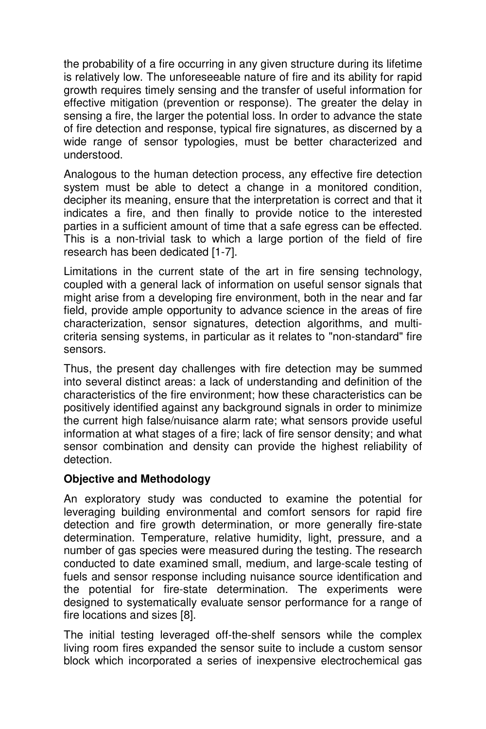the probability of a fire occurring in any given structure during its lifetime is relatively low. The unforeseeable nature of fire and its ability for rapid growth requires timely sensing and the transfer of useful information for effective mitigation (prevention or response). The greater the delay in sensing a fire, the larger the potential loss. In order to advance the state of fire detection and response, typical fire signatures, as discerned by a wide range of sensor typologies, must be better characterized and understood.

Analogous to the human detection process, any effective fire detection system must be able to detect a change in a monitored condition, decipher its meaning, ensure that the interpretation is correct and that it indicates a fire, and then finally to provide notice to the interested parties in a sufficient amount of time that a safe egress can be effected. This is a non-trivial task to which a large portion of the field of fire research has been dedicated [1-7].

Limitations in the current state of the art in fire sensing technology, coupled with a general lack of information on useful sensor signals that might arise from a developing fire environment, both in the near and far field, provide ample opportunity to advance science in the areas of fire characterization, sensor signatures, detection algorithms, and multicriteria sensing systems, in particular as it relates to "non-standard" fire sensors.

Thus, the present day challenges with fire detection may be summed into several distinct areas: a lack of understanding and definition of the characteristics of the fire environment; how these characteristics can be positively identified against any background signals in order to minimize the current high false/nuisance alarm rate; what sensors provide useful information at what stages of a fire; lack of fire sensor density; and what sensor combination and density can provide the highest reliability of detection.

### **Objective and Methodology**

An exploratory study was conducted to examine the potential for leveraging building environmental and comfort sensors for rapid fire detection and fire growth determination, or more generally fire-state determination. Temperature, relative humidity, light, pressure, and a number of gas species were measured during the testing. The research conducted to date examined small, medium, and large-scale testing of fuels and sensor response including nuisance source identification and the potential for fire-state determination. The experiments were designed to systematically evaluate sensor performance for a range of fire locations and sizes [8].

The initial testing leveraged off-the-shelf sensors while the complex living room fires expanded the sensor suite to include a custom sensor block which incorporated a series of inexpensive electrochemical gas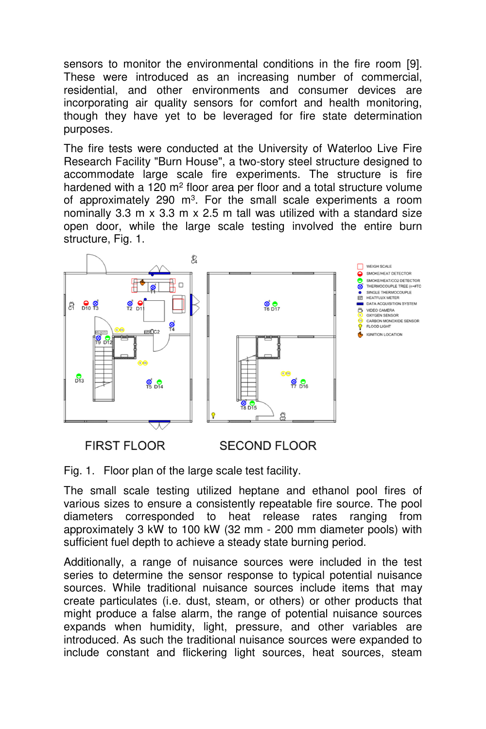sensors to monitor the environmental conditions in the fire room [9]. These were introduced as an increasing number of commercial, residential, and other environments and consumer devices are incorporating air quality sensors for comfort and health monitoring, though they have yet to be leveraged for fire state determination purposes.

The fire tests were conducted at the University of Waterloo Live Fire Research Facility "Burn House", a two-story steel structure designed to accommodate large scale fire experiments. The structure is fire hardened with a 120 m<sup>2</sup> floor area per floor and a total structure volume of approximately 290 m<sup>3</sup>. For the small scale experiments a room nominally 3.3 m x 3.3 m x 2.5 m tall was utilized with a standard size open door, while the large scale testing involved the entire burn structure, Fig. 1.



**FIRST FLOOR** 

**SECOND FLOOR** 

Fig. 1. Floor plan of the large scale test facility.

The small scale testing utilized heptane and ethanol pool fires of various sizes to ensure a consistently repeatable fire source. The pool diameters corresponded to heat release rates ranging from approximately 3 kW to 100 kW (32 mm - 200 mm diameter pools) with sufficient fuel depth to achieve a steady state burning period.

Additionally, a range of nuisance sources were included in the test series to determine the sensor response to typical potential nuisance sources. While traditional nuisance sources include items that may create particulates (i.e. dust, steam, or others) or other products that might produce a false alarm, the range of potential nuisance sources expands when humidity, light, pressure, and other variables are introduced. As such the traditional nuisance sources were expanded to include constant and flickering light sources, heat sources, steam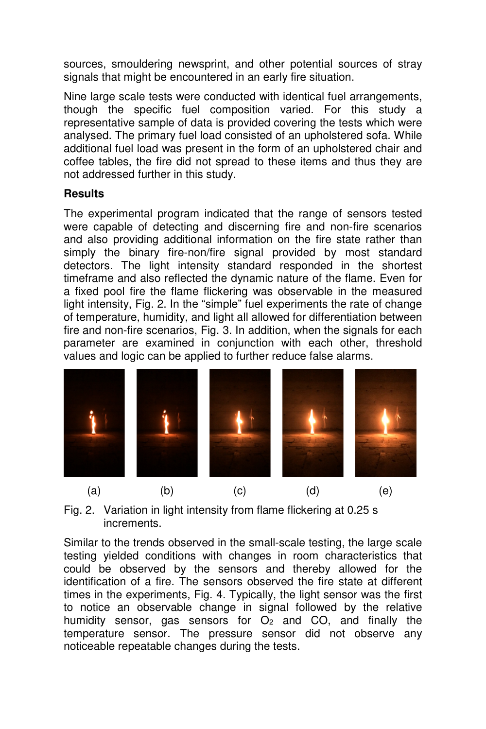sources, smouldering newsprint, and other potential sources of stray signals that might be encountered in an early fire situation.

Nine large scale tests were conducted with identical fuel arrangements, though the specific fuel composition varied. For this study a representative sample of data is provided covering the tests which were analysed. The primary fuel load consisted of an upholstered sofa. While additional fuel load was present in the form of an upholstered chair and coffee tables, the fire did not spread to these items and thus they are not addressed further in this study.

### **Results**

The experimental program indicated that the range of sensors tested were capable of detecting and discerning fire and non-fire scenarios and also providing additional information on the fire state rather than simply the binary fire-non/fire signal provided by most standard detectors. The light intensity standard responded in the shortest timeframe and also reflected the dynamic nature of the flame. Even for a fixed pool fire the flame flickering was observable in the measured light intensity, Fig. 2. In the "simple" fuel experiments the rate of change of temperature, humidity, and light all allowed for differentiation between fire and non-fire scenarios, Fig. 3. In addition, when the signals for each parameter are examined in conjunction with each other, threshold values and logic can be applied to further reduce false alarms.



Fig. 2. Variation in light intensity from flame flickering at 0.25 s increments.

Similar to the trends observed in the small-scale testing, the large scale testing yielded conditions with changes in room characteristics that could be observed by the sensors and thereby allowed for the identification of a fire. The sensors observed the fire state at different times in the experiments, Fig. 4. Typically, the light sensor was the first to notice an observable change in signal followed by the relative humidity sensor, gas sensors for  $O<sub>2</sub>$  and  $CO<sub>2</sub>$  and finally the temperature sensor. The pressure sensor did not observe any noticeable repeatable changes during the tests.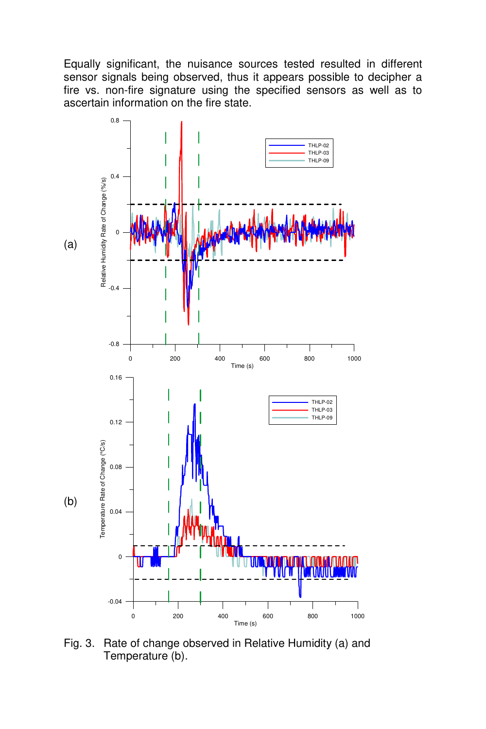Equally significant, the nuisance sources tested resulted in different sensor signals being observed, thus it appears possible to decipher a fire vs. non-fire signature using the specified sensors as well as to ascertain information on the fire state.



Fig. 3. Rate of change observed in Relative Humidity (a) and Temperature (b).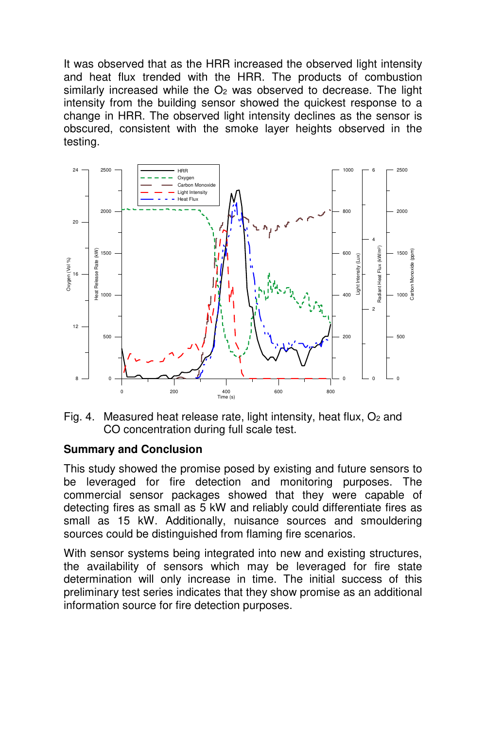It was observed that as the HRR increased the observed light intensity and heat flux trended with the HRR. The products of combustion similarly increased while the  $O<sub>2</sub>$  was observed to decrease. The light intensity from the building sensor showed the quickest response to a change in HRR. The observed light intensity declines as the sensor is obscured, consistent with the smoke layer heights observed in the testing.



Fig. 4. Measured heat release rate, light intensity, heat flux,  $O<sub>2</sub>$  and CO concentration during full scale test.

### **Summary and Conclusion**

This study showed the promise posed by existing and future sensors to be leveraged for fire detection and monitoring purposes. The commercial sensor packages showed that they were capable of detecting fires as small as 5 kW and reliably could differentiate fires as small as 15 kW. Additionally, nuisance sources and smouldering sources could be distinguished from flaming fire scenarios.

With sensor systems being integrated into new and existing structures, the availability of sensors which may be leveraged for fire state determination will only increase in time. The initial success of this preliminary test series indicates that they show promise as an additional information source for fire detection purposes.